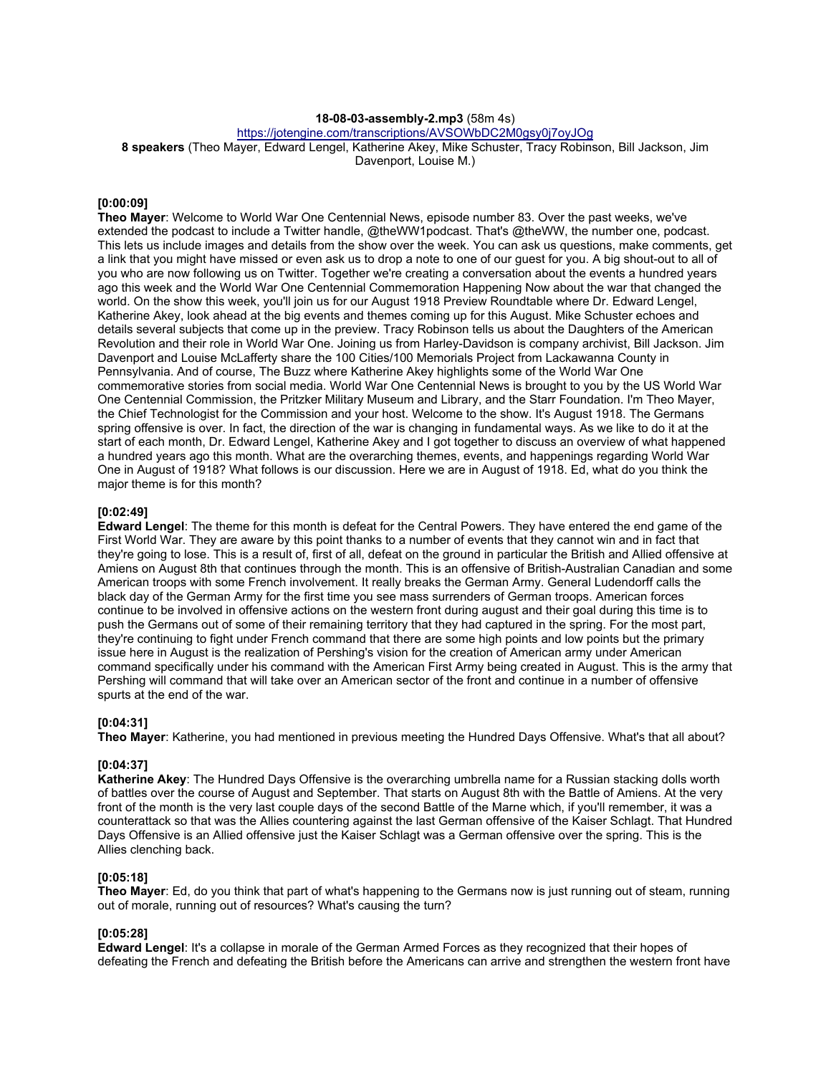### **18-08-03-assembly-2.mp3** (58m 4s)

https://jotengine.com/transcriptions/AVSOWbDC2M0gsy0j7oyJOg

**8 speakers** (Theo Mayer, Edward Lengel, Katherine Akey, Mike Schuster, Tracy Robinson, Bill Jackson, Jim Davenport, Louise M.)

#### **[0:00:09]**

**Theo Mayer**: Welcome to World War One Centennial News, episode number 83. Over the past weeks, we've extended the podcast to include a Twitter handle, @theWW1podcast. That's @theWW, the number one, podcast. This lets us include images and details from the show over the week. You can ask us questions, make comments, get a link that you might have missed or even ask us to drop a note to one of our guest for you. A big shout-out to all of you who are now following us on Twitter. Together we're creating a conversation about the events a hundred years ago this week and the World War One Centennial Commemoration Happening Now about the war that changed the world. On the show this week, you'll join us for our August 1918 Preview Roundtable where Dr. Edward Lengel, Katherine Akey, look ahead at the big events and themes coming up for this August. Mike Schuster echoes and details several subjects that come up in the preview. Tracy Robinson tells us about the Daughters of the American Revolution and their role in World War One. Joining us from Harley-Davidson is company archivist, Bill Jackson. Jim Davenport and Louise McLafferty share the 100 Cities/100 Memorials Project from Lackawanna County in Pennsylvania. And of course, The Buzz where Katherine Akey highlights some of the World War One commemorative stories from social media. World War One Centennial News is brought to you by the US World War One Centennial Commission, the Pritzker Military Museum and Library, and the Starr Foundation. I'm Theo Mayer, the Chief Technologist for the Commission and your host. Welcome to the show. It's August 1918. The Germans spring offensive is over. In fact, the direction of the war is changing in fundamental ways. As we like to do it at the start of each month, Dr. Edward Lengel, Katherine Akey and I got together to discuss an overview of what happened a hundred years ago this month. What are the overarching themes, events, and happenings regarding World War One in August of 1918? What follows is our discussion. Here we are in August of 1918. Ed, what do you think the major theme is for this month?

#### **[0:02:49]**

**Edward Lengel**: The theme for this month is defeat for the Central Powers. They have entered the end game of the First World War. They are aware by this point thanks to a number of events that they cannot win and in fact that they're going to lose. This is a result of, first of all, defeat on the ground in particular the British and Allied offensive at Amiens on August 8th that continues through the month. This is an offensive of British-Australian Canadian and some American troops with some French involvement. It really breaks the German Army. General Ludendorff calls the black day of the German Army for the first time you see mass surrenders of German troops. American forces continue to be involved in offensive actions on the western front during august and their goal during this time is to push the Germans out of some of their remaining territory that they had captured in the spring. For the most part, they're continuing to fight under French command that there are some high points and low points but the primary issue here in August is the realization of Pershing's vision for the creation of American army under American command specifically under his command with the American First Army being created in August. This is the army that Pershing will command that will take over an American sector of the front and continue in a number of offensive spurts at the end of the war.

### **[0:04:31]**

**Theo Mayer**: Katherine, you had mentioned in previous meeting the Hundred Days Offensive. What's that all about?

#### **[0:04:37]**

**Katherine Akey**: The Hundred Days Offensive is the overarching umbrella name for a Russian stacking dolls worth of battles over the course of August and September. That starts on August 8th with the Battle of Amiens. At the very front of the month is the very last couple days of the second Battle of the Marne which, if you'll remember, it was a counterattack so that was the Allies countering against the last German offensive of the Kaiser Schlagt. That Hundred Days Offensive is an Allied offensive just the Kaiser Schlagt was a German offensive over the spring. This is the Allies clenching back.

### **[0:05:18]**

**Theo Mayer**: Ed, do you think that part of what's happening to the Germans now is just running out of steam, running out of morale, running out of resources? What's causing the turn?

### **[0:05:28]**

**Edward Lengel**: It's a collapse in morale of the German Armed Forces as they recognized that their hopes of defeating the French and defeating the British before the Americans can arrive and strengthen the western front have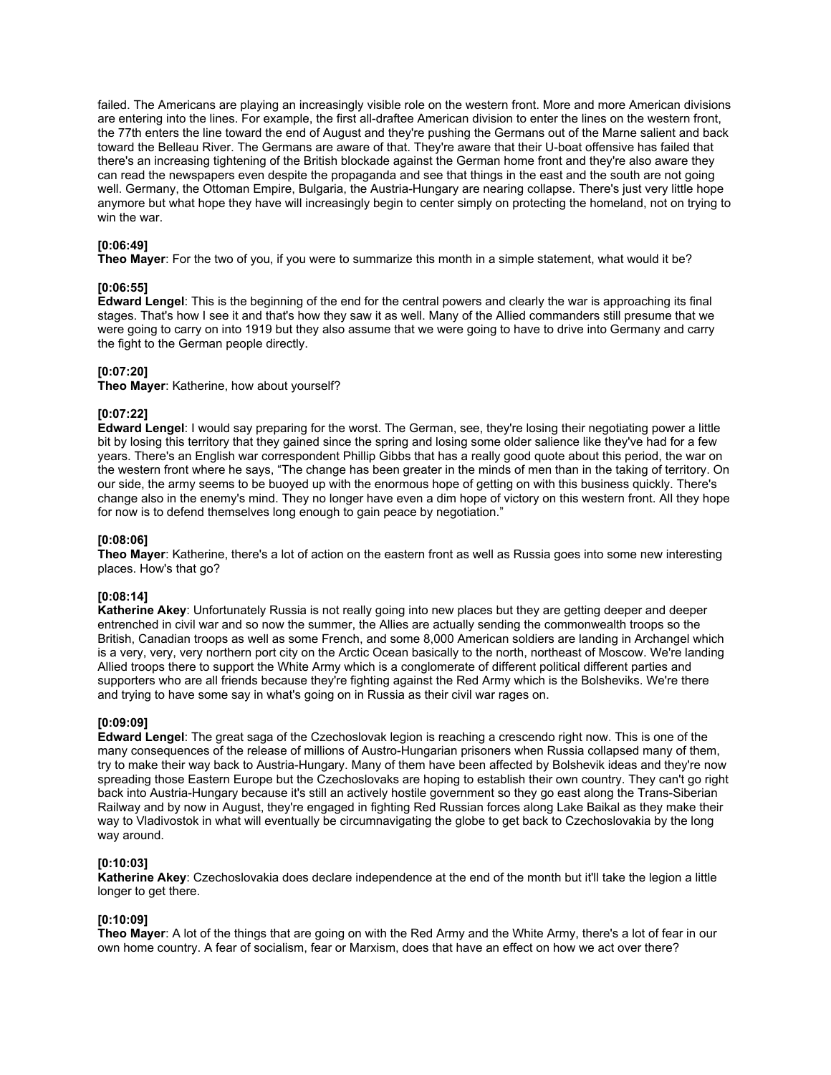failed. The Americans are playing an increasingly visible role on the western front. More and more American divisions are entering into the lines. For example, the first all-draftee American division to enter the lines on the western front, the 77th enters the line toward the end of August and they're pushing the Germans out of the Marne salient and back toward the Belleau River. The Germans are aware of that. They're aware that their U-boat offensive has failed that there's an increasing tightening of the British blockade against the German home front and they're also aware they can read the newspapers even despite the propaganda and see that things in the east and the south are not going well. Germany, the Ottoman Empire, Bulgaria, the Austria-Hungary are nearing collapse. There's just very little hope anymore but what hope they have will increasingly begin to center simply on protecting the homeland, not on trying to win the war.

# **[0:06:49]**

**Theo Mayer**: For the two of you, if you were to summarize this month in a simple statement, what would it be?

### **[0:06:55]**

**Edward Lengel**: This is the beginning of the end for the central powers and clearly the war is approaching its final stages. That's how I see it and that's how they saw it as well. Many of the Allied commanders still presume that we were going to carry on into 1919 but they also assume that we were going to have to drive into Germany and carry the fight to the German people directly.

## **[0:07:20]**

**Theo Mayer**: Katherine, how about yourself?

## **[0:07:22]**

**Edward Lengel**: I would say preparing for the worst. The German, see, they're losing their negotiating power a little bit by losing this territory that they gained since the spring and losing some older salience like they've had for a few years. There's an English war correspondent Phillip Gibbs that has a really good quote about this period, the war on the western front where he says, "The change has been greater in the minds of men than in the taking of territory. On our side, the army seems to be buoyed up with the enormous hope of getting on with this business quickly. There's change also in the enemy's mind. They no longer have even a dim hope of victory on this western front. All they hope for now is to defend themselves long enough to gain peace by negotiation."

### **[0:08:06]**

**Theo Mayer**: Katherine, there's a lot of action on the eastern front as well as Russia goes into some new interesting places. How's that go?

### **[0:08:14]**

**Katherine Akey**: Unfortunately Russia is not really going into new places but they are getting deeper and deeper entrenched in civil war and so now the summer, the Allies are actually sending the commonwealth troops so the British, Canadian troops as well as some French, and some 8,000 American soldiers are landing in Archangel which is a very, very, very northern port city on the Arctic Ocean basically to the north, northeast of Moscow. We're landing Allied troops there to support the White Army which is a conglomerate of different political different parties and supporters who are all friends because they're fighting against the Red Army which is the Bolsheviks. We're there and trying to have some say in what's going on in Russia as their civil war rages on.

### **[0:09:09]**

**Edward Lengel**: The great saga of the Czechoslovak legion is reaching a crescendo right now. This is one of the many consequences of the release of millions of Austro-Hungarian prisoners when Russia collapsed many of them, try to make their way back to Austria-Hungary. Many of them have been affected by Bolshevik ideas and they're now spreading those Eastern Europe but the Czechoslovaks are hoping to establish their own country. They can't go right back into Austria-Hungary because it's still an actively hostile government so they go east along the Trans-Siberian Railway and by now in August, they're engaged in fighting Red Russian forces along Lake Baikal as they make their way to Vladivostok in what will eventually be circumnavigating the globe to get back to Czechoslovakia by the long way around.

### **[0:10:03]**

**Katherine Akey**: Czechoslovakia does declare independence at the end of the month but it'll take the legion a little longer to get there.

### **[0:10:09]**

**Theo Mayer**: A lot of the things that are going on with the Red Army and the White Army, there's a lot of fear in our own home country. A fear of socialism, fear or Marxism, does that have an effect on how we act over there?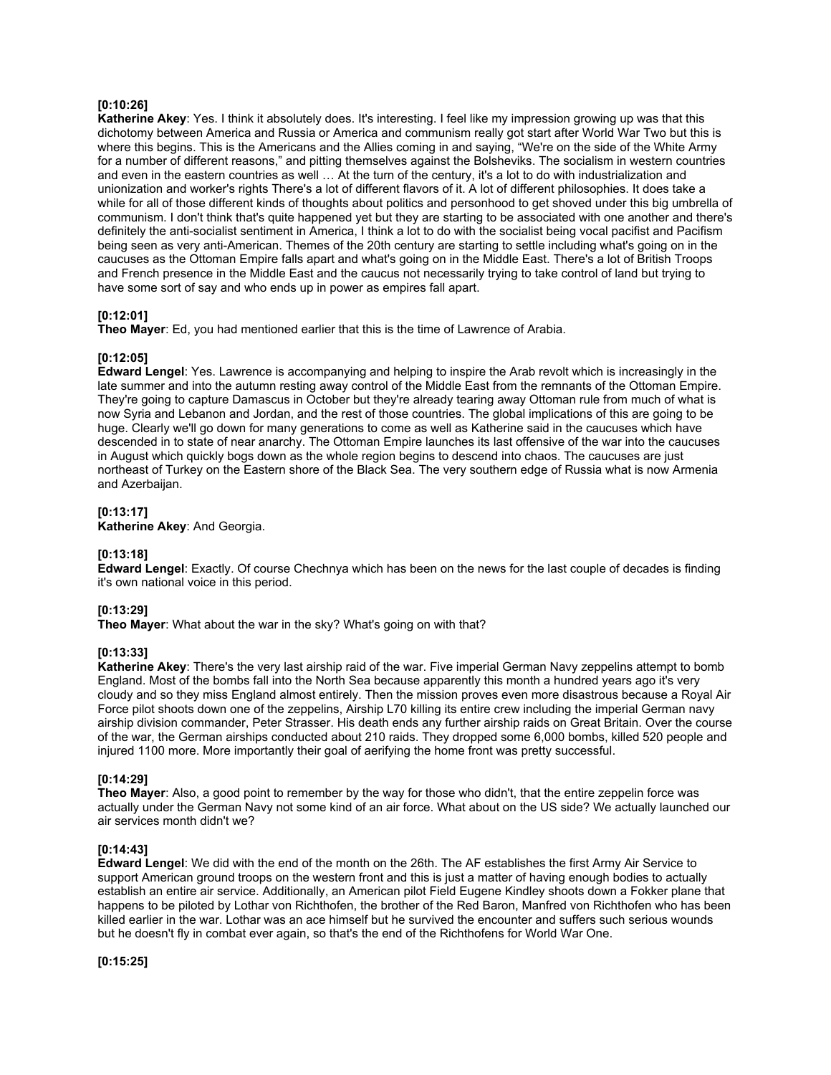## **[0:10:26]**

**Katherine Akey**: Yes. I think it absolutely does. It's interesting. I feel like my impression growing up was that this dichotomy between America and Russia or America and communism really got start after World War Two but this is where this begins. This is the Americans and the Allies coming in and saying, "We're on the side of the White Army for a number of different reasons," and pitting themselves against the Bolsheviks. The socialism in western countries and even in the eastern countries as well … At the turn of the century, it's a lot to do with industrialization and unionization and worker's rights There's a lot of different flavors of it. A lot of different philosophies. It does take a while for all of those different kinds of thoughts about politics and personhood to get shoved under this big umbrella of communism. I don't think that's quite happened yet but they are starting to be associated with one another and there's definitely the anti-socialist sentiment in America, I think a lot to do with the socialist being vocal pacifist and Pacifism being seen as very anti-American. Themes of the 20th century are starting to settle including what's going on in the caucuses as the Ottoman Empire falls apart and what's going on in the Middle East. There's a lot of British Troops and French presence in the Middle East and the caucus not necessarily trying to take control of land but trying to have some sort of say and who ends up in power as empires fall apart.

## **[0:12:01]**

**Theo Mayer**: Ed, you had mentioned earlier that this is the time of Lawrence of Arabia.

### **[0:12:05]**

**Edward Lengel**: Yes. Lawrence is accompanying and helping to inspire the Arab revolt which is increasingly in the late summer and into the autumn resting away control of the Middle East from the remnants of the Ottoman Empire. They're going to capture Damascus in October but they're already tearing away Ottoman rule from much of what is now Syria and Lebanon and Jordan, and the rest of those countries. The global implications of this are going to be huge. Clearly we'll go down for many generations to come as well as Katherine said in the caucuses which have descended in to state of near anarchy. The Ottoman Empire launches its last offensive of the war into the caucuses in August which quickly bogs down as the whole region begins to descend into chaos. The caucuses are just northeast of Turkey on the Eastern shore of the Black Sea. The very southern edge of Russia what is now Armenia and Azerbaijan.

### **[0:13:17]**

**Katherine Akey**: And Georgia.

### **[0:13:18]**

**Edward Lengel**: Exactly. Of course Chechnya which has been on the news for the last couple of decades is finding it's own national voice in this period.

# **[0:13:29]**

**Theo Mayer**: What about the war in the sky? What's going on with that?

### **[0:13:33]**

**Katherine Akey**: There's the very last airship raid of the war. Five imperial German Navy zeppelins attempt to bomb England. Most of the bombs fall into the North Sea because apparently this month a hundred years ago it's very cloudy and so they miss England almost entirely. Then the mission proves even more disastrous because a Royal Air Force pilot shoots down one of the zeppelins, Airship L70 killing its entire crew including the imperial German navy airship division commander, Peter Strasser. His death ends any further airship raids on Great Britain. Over the course of the war, the German airships conducted about 210 raids. They dropped some 6,000 bombs, killed 520 people and injured 1100 more. More importantly their goal of aerifying the home front was pretty successful.

# **[0:14:29]**

**Theo Mayer**: Also, a good point to remember by the way for those who didn't, that the entire zeppelin force was actually under the German Navy not some kind of an air force. What about on the US side? We actually launched our air services month didn't we?

### **[0:14:43]**

**Edward Lengel**: We did with the end of the month on the 26th. The AF establishes the first Army Air Service to support American ground troops on the western front and this is just a matter of having enough bodies to actually establish an entire air service. Additionally, an American pilot Field Eugene Kindley shoots down a Fokker plane that happens to be piloted by Lothar von Richthofen, the brother of the Red Baron, Manfred von Richthofen who has been killed earlier in the war. Lothar was an ace himself but he survived the encounter and suffers such serious wounds but he doesn't fly in combat ever again, so that's the end of the Richthofens for World War One.

**[0:15:25]**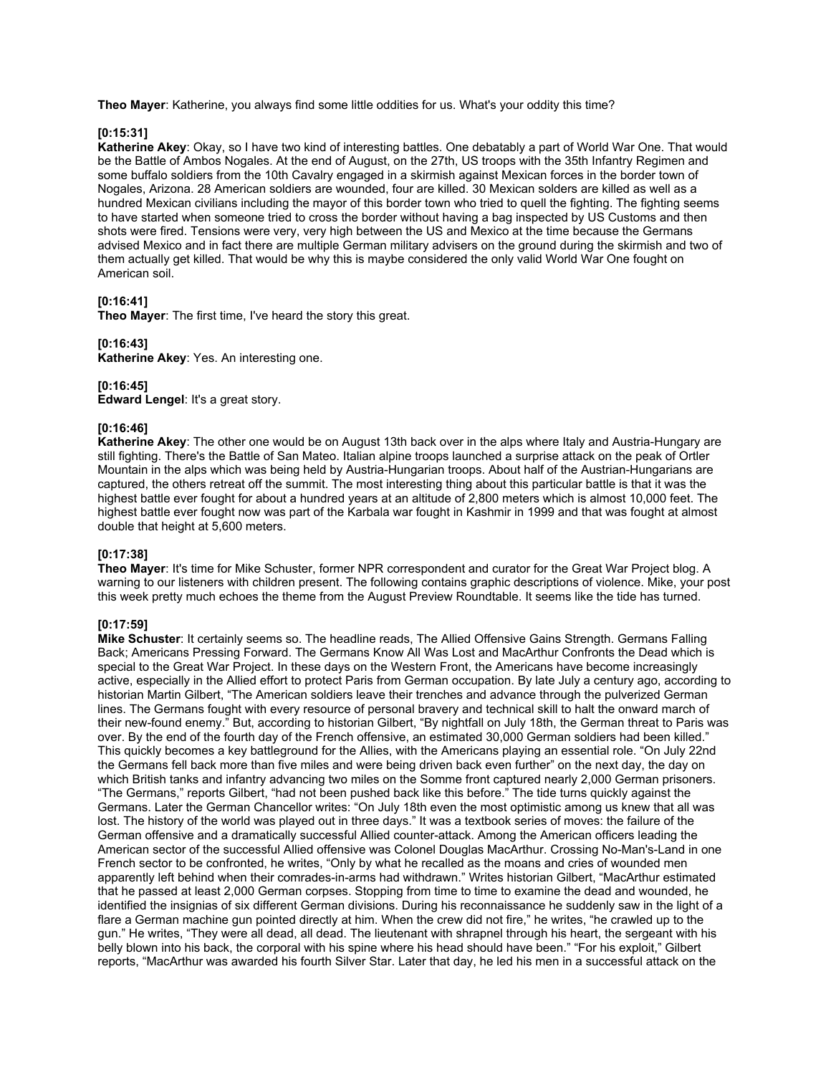**Theo Mayer**: Katherine, you always find some little oddities for us. What's your oddity this time?

### **[0:15:31]**

**Katherine Akey**: Okay, so I have two kind of interesting battles. One debatably a part of World War One. That would be the Battle of Ambos Nogales. At the end of August, on the 27th, US troops with the 35th Infantry Regimen and some buffalo soldiers from the 10th Cavalry engaged in a skirmish against Mexican forces in the border town of Nogales, Arizona. 28 American soldiers are wounded, four are killed. 30 Mexican solders are killed as well as a hundred Mexican civilians including the mayor of this border town who tried to quell the fighting. The fighting seems to have started when someone tried to cross the border without having a bag inspected by US Customs and then shots were fired. Tensions were very, very high between the US and Mexico at the time because the Germans advised Mexico and in fact there are multiple German military advisers on the ground during the skirmish and two of them actually get killed. That would be why this is maybe considered the only valid World War One fought on American soil.

### **[0:16:41]**

**Theo Mayer**: The first time, I've heard the story this great.

### **[0:16:43]**

**Katherine Akey**: Yes. An interesting one.

### **[0:16:45]**

**Edward Lengel**: It's a great story.

## **[0:16:46]**

**Katherine Akey**: The other one would be on August 13th back over in the alps where Italy and Austria-Hungary are still fighting. There's the Battle of San Mateo. Italian alpine troops launched a surprise attack on the peak of Ortler Mountain in the alps which was being held by Austria-Hungarian troops. About half of the Austrian-Hungarians are captured, the others retreat off the summit. The most interesting thing about this particular battle is that it was the highest battle ever fought for about a hundred years at an altitude of 2,800 meters which is almost 10,000 feet. The highest battle ever fought now was part of the Karbala war fought in Kashmir in 1999 and that was fought at almost double that height at 5,600 meters.

## **[0:17:38]**

**Theo Mayer**: It's time for Mike Schuster, former NPR correspondent and curator for the Great War Project blog. A warning to our listeners with children present. The following contains graphic descriptions of violence. Mike, your post this week pretty much echoes the theme from the August Preview Roundtable. It seems like the tide has turned.

### **[0:17:59]**

**Mike Schuster**: It certainly seems so. The headline reads, The Allied Offensive Gains Strength. Germans Falling Back; Americans Pressing Forward. The Germans Know All Was Lost and MacArthur Confronts the Dead which is special to the Great War Project. In these days on the Western Front, the Americans have become increasingly active, especially in the Allied effort to protect Paris from German occupation. By late July a century ago, according to historian Martin Gilbert, "The American soldiers leave their trenches and advance through the pulverized German lines. The Germans fought with every resource of personal bravery and technical skill to halt the onward march of their new-found enemy." But, according to historian Gilbert, "By nightfall on July 18th, the German threat to Paris was over. By the end of the fourth day of the French offensive, an estimated 30,000 German soldiers had been killed." This quickly becomes a key battleground for the Allies, with the Americans playing an essential role. "On July 22nd the Germans fell back more than five miles and were being driven back even further" on the next day, the day on which British tanks and infantry advancing two miles on the Somme front captured nearly 2,000 German prisoners. "The Germans," reports Gilbert, "had not been pushed back like this before." The tide turns quickly against the Germans. Later the German Chancellor writes: "On July 18th even the most optimistic among us knew that all was lost. The history of the world was played out in three days." It was a textbook series of moves: the failure of the German offensive and a dramatically successful Allied counter-attack. Among the American officers leading the American sector of the successful Allied offensive was Colonel Douglas MacArthur. Crossing No-Man's-Land in one French sector to be confronted, he writes, "Only by what he recalled as the moans and cries of wounded men apparently left behind when their comrades-in-arms had withdrawn." Writes historian Gilbert, "MacArthur estimated that he passed at least 2,000 German corpses. Stopping from time to time to examine the dead and wounded, he identified the insignias of six different German divisions. During his reconnaissance he suddenly saw in the light of a flare a German machine gun pointed directly at him. When the crew did not fire," he writes, "he crawled up to the gun." He writes, "They were all dead, all dead. The lieutenant with shrapnel through his heart, the sergeant with his belly blown into his back, the corporal with his spine where his head should have been." "For his exploit," Gilbert reports, "MacArthur was awarded his fourth Silver Star. Later that day, he led his men in a successful attack on the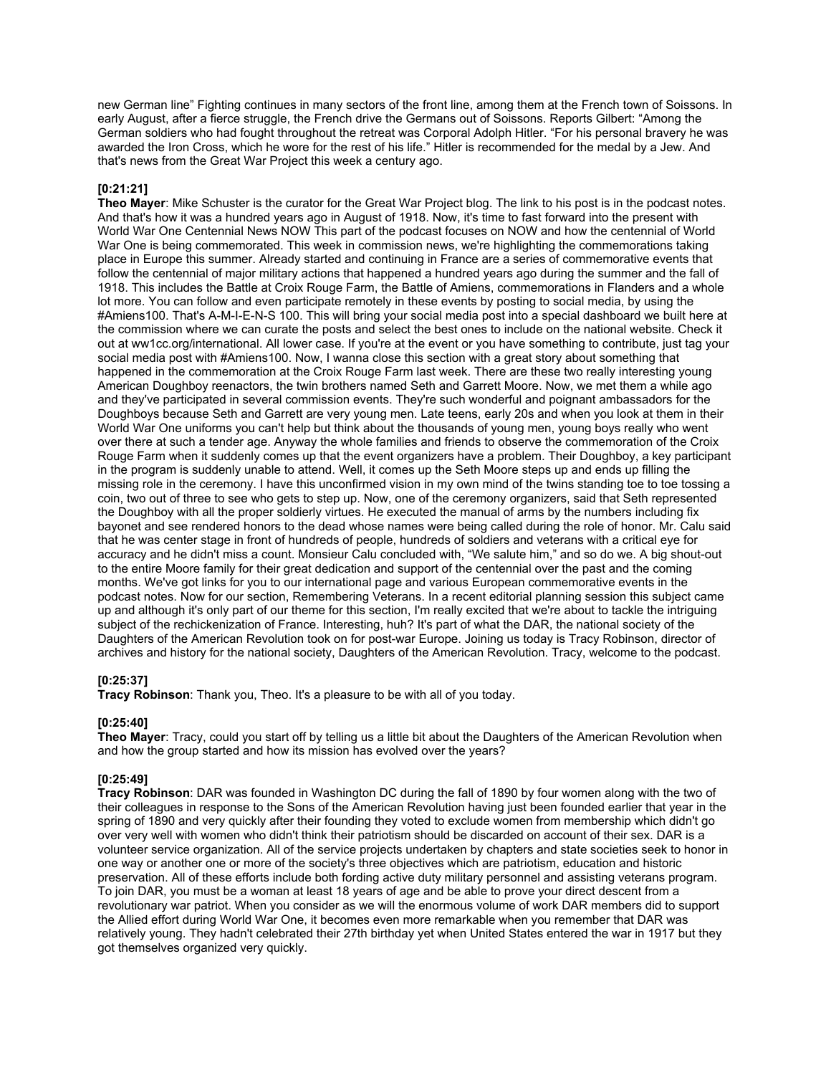new German line" Fighting continues in many sectors of the front line, among them at the French town of Soissons. In early August, after a fierce struggle, the French drive the Germans out of Soissons. Reports Gilbert: "Among the German soldiers who had fought throughout the retreat was Corporal Adolph Hitler. "For his personal bravery he was awarded the Iron Cross, which he wore for the rest of his life." Hitler is recommended for the medal by a Jew. And that's news from the Great War Project this week a century ago.

## **[0:21:21]**

**Theo Mayer**: Mike Schuster is the curator for the Great War Project blog. The link to his post is in the podcast notes. And that's how it was a hundred years ago in August of 1918. Now, it's time to fast forward into the present with World War One Centennial News NOW This part of the podcast focuses on NOW and how the centennial of World War One is being commemorated. This week in commission news, we're highlighting the commemorations taking place in Europe this summer. Already started and continuing in France are a series of commemorative events that follow the centennial of major military actions that happened a hundred years ago during the summer and the fall of 1918. This includes the Battle at Croix Rouge Farm, the Battle of Amiens, commemorations in Flanders and a whole lot more. You can follow and even participate remotely in these events by posting to social media, by using the #Amiens100. That's A-M-I-E-N-S 100. This will bring your social media post into a special dashboard we built here at the commission where we can curate the posts and select the best ones to include on the national website. Check it out at ww1cc.org/international. All lower case. If you're at the event or you have something to contribute, just tag your social media post with #Amiens100. Now, I wanna close this section with a great story about something that happened in the commemoration at the Croix Rouge Farm last week. There are these two really interesting young American Doughboy reenactors, the twin brothers named Seth and Garrett Moore. Now, we met them a while ago and they've participated in several commission events. They're such wonderful and poignant ambassadors for the Doughboys because Seth and Garrett are very young men. Late teens, early 20s and when you look at them in their World War One uniforms you can't help but think about the thousands of young men, young boys really who went over there at such a tender age. Anyway the whole families and friends to observe the commemoration of the Croix Rouge Farm when it suddenly comes up that the event organizers have a problem. Their Doughboy, a key participant in the program is suddenly unable to attend. Well, it comes up the Seth Moore steps up and ends up filling the missing role in the ceremony. I have this unconfirmed vision in my own mind of the twins standing toe to toe tossing a coin, two out of three to see who gets to step up. Now, one of the ceremony organizers, said that Seth represented the Doughboy with all the proper soldierly virtues. He executed the manual of arms by the numbers including fix bayonet and see rendered honors to the dead whose names were being called during the role of honor. Mr. Calu said that he was center stage in front of hundreds of people, hundreds of soldiers and veterans with a critical eye for accuracy and he didn't miss a count. Monsieur Calu concluded with, "We salute him," and so do we. A big shout-out to the entire Moore family for their great dedication and support of the centennial over the past and the coming months. We've got links for you to our international page and various European commemorative events in the podcast notes. Now for our section, Remembering Veterans. In a recent editorial planning session this subject came up and although it's only part of our theme for this section, I'm really excited that we're about to tackle the intriguing subject of the rechickenization of France. Interesting, huh? It's part of what the DAR, the national society of the Daughters of the American Revolution took on for post-war Europe. Joining us today is Tracy Robinson, director of archives and history for the national society, Daughters of the American Revolution. Tracy, welcome to the podcast.

# **[0:25:37]**

**Tracy Robinson**: Thank you, Theo. It's a pleasure to be with all of you today.

### **[0:25:40]**

**Theo Mayer**: Tracy, could you start off by telling us a little bit about the Daughters of the American Revolution when and how the group started and how its mission has evolved over the years?

# **[0:25:49]**

**Tracy Robinson**: DAR was founded in Washington DC during the fall of 1890 by four women along with the two of their colleagues in response to the Sons of the American Revolution having just been founded earlier that year in the spring of 1890 and very quickly after their founding they voted to exclude women from membership which didn't go over very well with women who didn't think their patriotism should be discarded on account of their sex. DAR is a volunteer service organization. All of the service projects undertaken by chapters and state societies seek to honor in one way or another one or more of the society's three objectives which are patriotism, education and historic preservation. All of these efforts include both fording active duty military personnel and assisting veterans program. To join DAR, you must be a woman at least 18 years of age and be able to prove your direct descent from a revolutionary war patriot. When you consider as we will the enormous volume of work DAR members did to support the Allied effort during World War One, it becomes even more remarkable when you remember that DAR was relatively young. They hadn't celebrated their 27th birthday yet when United States entered the war in 1917 but they got themselves organized very quickly.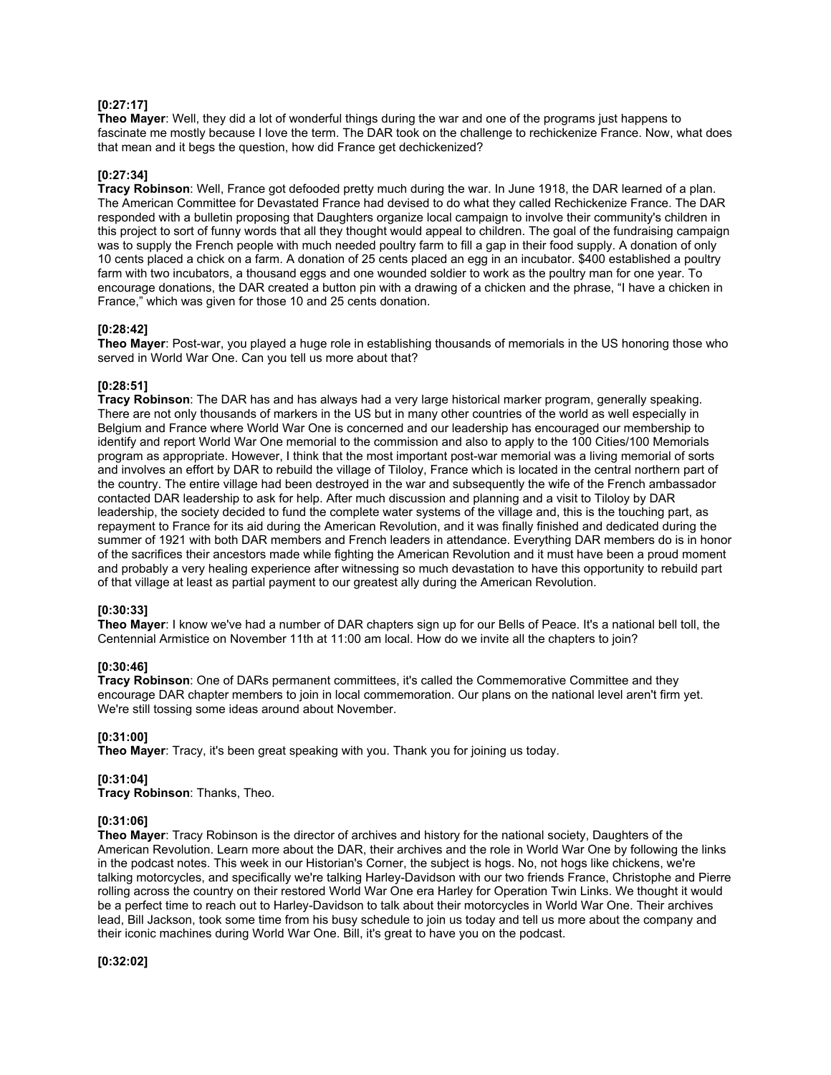### **[0:27:17]**

**Theo Mayer**: Well, they did a lot of wonderful things during the war and one of the programs just happens to fascinate me mostly because I love the term. The DAR took on the challenge to rechickenize France. Now, what does that mean and it begs the question, how did France get dechickenized?

## **[0:27:34]**

**Tracy Robinson**: Well, France got defooded pretty much during the war. In June 1918, the DAR learned of a plan. The American Committee for Devastated France had devised to do what they called Rechickenize France. The DAR responded with a bulletin proposing that Daughters organize local campaign to involve their community's children in this project to sort of funny words that all they thought would appeal to children. The goal of the fundraising campaign was to supply the French people with much needed poultry farm to fill a gap in their food supply. A donation of only 10 cents placed a chick on a farm. A donation of 25 cents placed an egg in an incubator. \$400 established a poultry farm with two incubators, a thousand eggs and one wounded soldier to work as the poultry man for one year. To encourage donations, the DAR created a button pin with a drawing of a chicken and the phrase, "I have a chicken in France," which was given for those 10 and 25 cents donation.

### **[0:28:42]**

**Theo Mayer**: Post-war, you played a huge role in establishing thousands of memorials in the US honoring those who served in World War One. Can you tell us more about that?

## **[0:28:51]**

**Tracy Robinson**: The DAR has and has always had a very large historical marker program, generally speaking. There are not only thousands of markers in the US but in many other countries of the world as well especially in Belgium and France where World War One is concerned and our leadership has encouraged our membership to identify and report World War One memorial to the commission and also to apply to the 100 Cities/100 Memorials program as appropriate. However, I think that the most important post-war memorial was a living memorial of sorts and involves an effort by DAR to rebuild the village of Tiloloy, France which is located in the central northern part of the country. The entire village had been destroyed in the war and subsequently the wife of the French ambassador contacted DAR leadership to ask for help. After much discussion and planning and a visit to Tiloloy by DAR leadership, the society decided to fund the complete water systems of the village and, this is the touching part, as repayment to France for its aid during the American Revolution, and it was finally finished and dedicated during the summer of 1921 with both DAR members and French leaders in attendance. Everything DAR members do is in honor of the sacrifices their ancestors made while fighting the American Revolution and it must have been a proud moment and probably a very healing experience after witnessing so much devastation to have this opportunity to rebuild part of that village at least as partial payment to our greatest ally during the American Revolution.

## **[0:30:33]**

**Theo Mayer**: I know we've had a number of DAR chapters sign up for our Bells of Peace. It's a national bell toll, the Centennial Armistice on November 11th at 11:00 am local. How do we invite all the chapters to join?

## **[0:30:46]**

**Tracy Robinson**: One of DARs permanent committees, it's called the Commemorative Committee and they encourage DAR chapter members to join in local commemoration. Our plans on the national level aren't firm yet. We're still tossing some ideas around about November.

### **[0:31:00]**

**Theo Mayer**: Tracy, it's been great speaking with you. Thank you for joining us today.

### **[0:31:04]**

**Tracy Robinson**: Thanks, Theo.

### **[0:31:06]**

**Theo Mayer**: Tracy Robinson is the director of archives and history for the national society, Daughters of the American Revolution. Learn more about the DAR, their archives and the role in World War One by following the links in the podcast notes. This week in our Historian's Corner, the subject is hogs. No, not hogs like chickens, we're talking motorcycles, and specifically we're talking Harley-Davidson with our two friends France, Christophe and Pierre rolling across the country on their restored World War One era Harley for Operation Twin Links. We thought it would be a perfect time to reach out to Harley-Davidson to talk about their motorcycles in World War One. Their archives lead, Bill Jackson, took some time from his busy schedule to join us today and tell us more about the company and their iconic machines during World War One. Bill, it's great to have you on the podcast.

**[0:32:02]**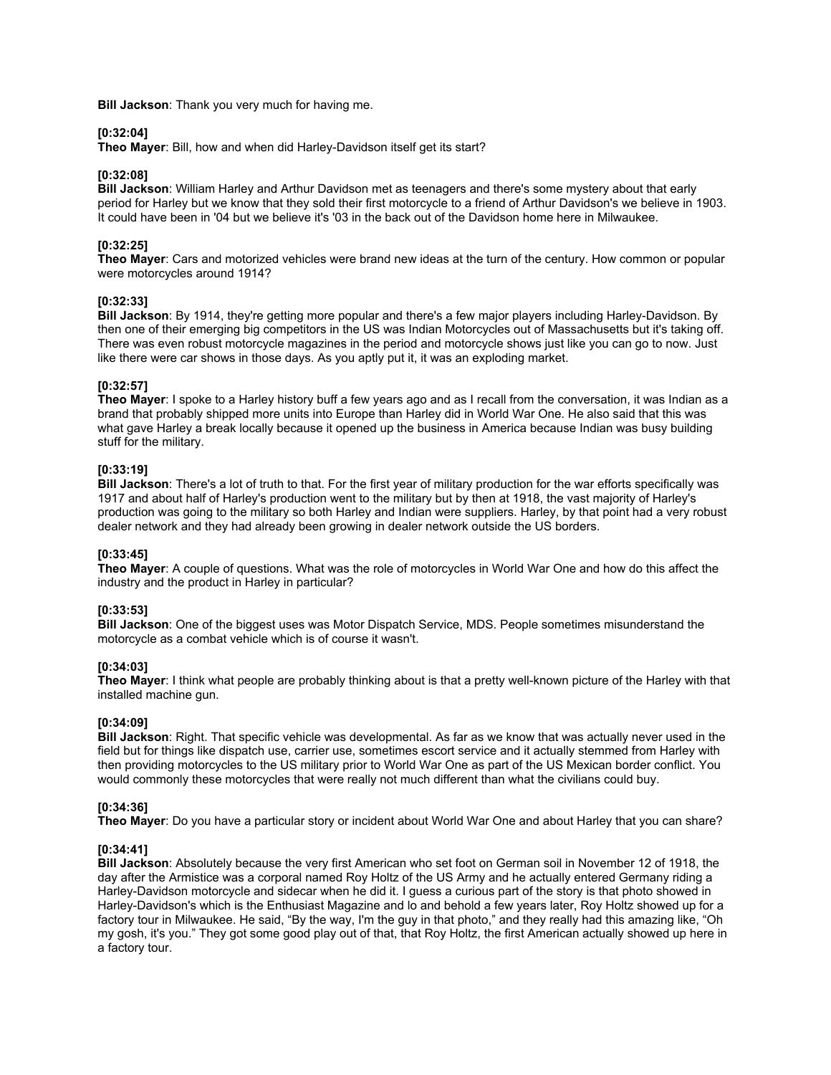**Bill Jackson**: Thank you very much for having me.

### **[0:32:04]**

**Theo Mayer**: Bill, how and when did Harley-Davidson itself get its start?

### **[0:32:08]**

**Bill Jackson**: William Harley and Arthur Davidson met as teenagers and there's some mystery about that early period for Harley but we know that they sold their first motorcycle to a friend of Arthur Davidson's we believe in 1903. It could have been in '04 but we believe it's '03 in the back out of the Davidson home here in Milwaukee.

## **[0:32:25]**

**Theo Mayer**: Cars and motorized vehicles were brand new ideas at the turn of the century. How common or popular were motorcycles around 1914?

## **[0:32:33]**

**Bill Jackson**: By 1914, they're getting more popular and there's a few major players including Harley-Davidson. By then one of their emerging big competitors in the US was Indian Motorcycles out of Massachusetts but it's taking off. There was even robust motorcycle magazines in the period and motorcycle shows just like you can go to now. Just like there were car shows in those days. As you aptly put it, it was an exploding market.

## **[0:32:57]**

**Theo Mayer**: I spoke to a Harley history buff a few years ago and as I recall from the conversation, it was Indian as a brand that probably shipped more units into Europe than Harley did in World War One. He also said that this was what gave Harley a break locally because it opened up the business in America because Indian was busy building stuff for the military.

## **[0:33:19]**

**Bill Jackson**: There's a lot of truth to that. For the first year of military production for the war efforts specifically was 1917 and about half of Harley's production went to the military but by then at 1918, the vast majority of Harley's production was going to the military so both Harley and Indian were suppliers. Harley, by that point had a very robust dealer network and they had already been growing in dealer network outside the US borders.

### **[0:33:45]**

**Theo Mayer**: A couple of questions. What was the role of motorcycles in World War One and how do this affect the industry and the product in Harley in particular?

### **[0:33:53]**

**Bill Jackson**: One of the biggest uses was Motor Dispatch Service, MDS. People sometimes misunderstand the motorcycle as a combat vehicle which is of course it wasn't.

## **[0:34:03]**

**Theo Mayer**: I think what people are probably thinking about is that a pretty well-known picture of the Harley with that installed machine gun.

### **[0:34:09]**

**Bill Jackson**: Right. That specific vehicle was developmental. As far as we know that was actually never used in the field but for things like dispatch use, carrier use, sometimes escort service and it actually stemmed from Harley with then providing motorcycles to the US military prior to World War One as part of the US Mexican border conflict. You would commonly these motorcycles that were really not much different than what the civilians could buy.

### **[0:34:36]**

**Theo Mayer**: Do you have a particular story or incident about World War One and about Harley that you can share?

### **[0:34:41]**

**Bill Jackson**: Absolutely because the very first American who set foot on German soil in November 12 of 1918, the day after the Armistice was a corporal named Roy Holtz of the US Army and he actually entered Germany riding a Harley-Davidson motorcycle and sidecar when he did it. I guess a curious part of the story is that photo showed in Harley-Davidson's which is the Enthusiast Magazine and lo and behold a few years later, Roy Holtz showed up for a factory tour in Milwaukee. He said, "By the way, I'm the guy in that photo," and they really had this amazing like, "Oh my gosh, it's you." They got some good play out of that, that Roy Holtz, the first American actually showed up here in a factory tour.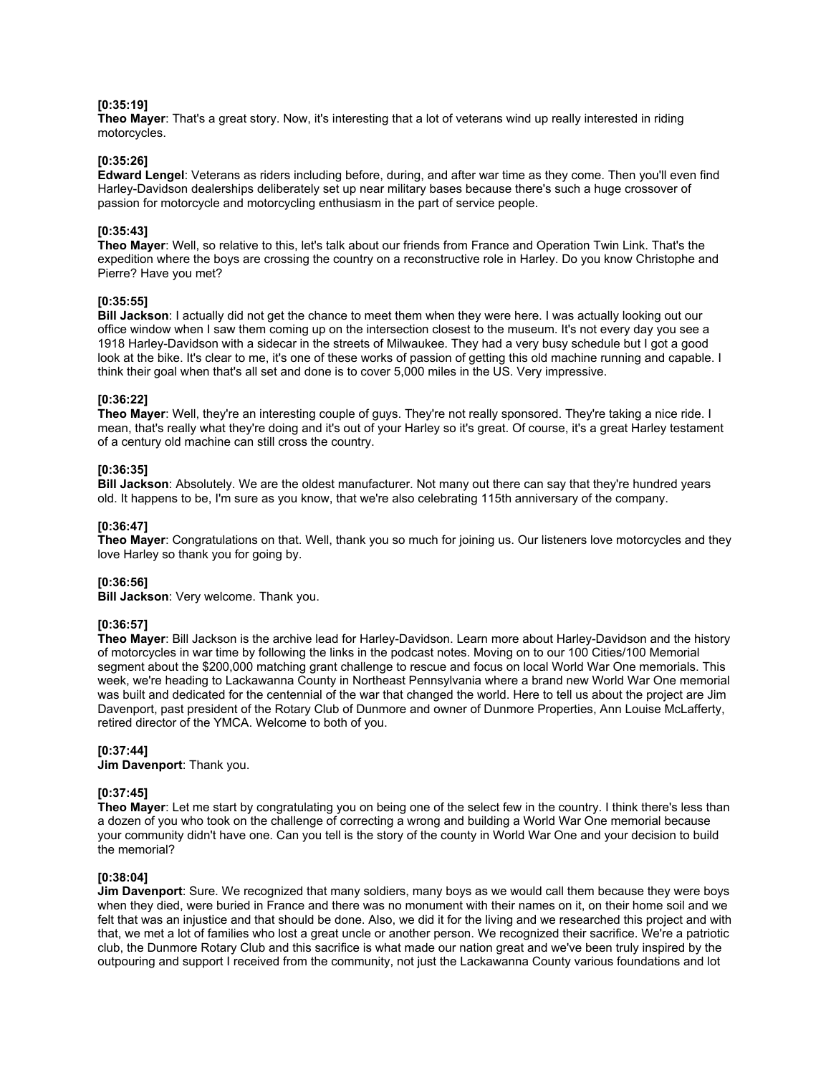## **[0:35:19]**

**Theo Mayer**: That's a great story. Now, it's interesting that a lot of veterans wind up really interested in riding motorcycles.

### **[0:35:26]**

**Edward Lengel**: Veterans as riders including before, during, and after war time as they come. Then you'll even find Harley-Davidson dealerships deliberately set up near military bases because there's such a huge crossover of passion for motorcycle and motorcycling enthusiasm in the part of service people.

#### **[0:35:43]**

**Theo Mayer**: Well, so relative to this, let's talk about our friends from France and Operation Twin Link. That's the expedition where the boys are crossing the country on a reconstructive role in Harley. Do you know Christophe and Pierre? Have you met?

#### **[0:35:55]**

**Bill Jackson**: I actually did not get the chance to meet them when they were here. I was actually looking out our office window when I saw them coming up on the intersection closest to the museum. It's not every day you see a 1918 Harley-Davidson with a sidecar in the streets of Milwaukee. They had a very busy schedule but I got a good look at the bike. It's clear to me, it's one of these works of passion of getting this old machine running and capable. I think their goal when that's all set and done is to cover 5,000 miles in the US. Very impressive.

#### **[0:36:22]**

**Theo Mayer**: Well, they're an interesting couple of guys. They're not really sponsored. They're taking a nice ride. I mean, that's really what they're doing and it's out of your Harley so it's great. Of course, it's a great Harley testament of a century old machine can still cross the country.

### **[0:36:35]**

**Bill Jackson**: Absolutely. We are the oldest manufacturer. Not many out there can say that they're hundred years old. It happens to be, I'm sure as you know, that we're also celebrating 115th anniversary of the company.

### **[0:36:47]**

**Theo Mayer**: Congratulations on that. Well, thank you so much for joining us. Our listeners love motorcycles and they love Harley so thank you for going by.

### **[0:36:56]**

**Bill Jackson**: Very welcome. Thank you.

### **[0:36:57]**

**Theo Mayer**: Bill Jackson is the archive lead for Harley-Davidson. Learn more about Harley-Davidson and the history of motorcycles in war time by following the links in the podcast notes. Moving on to our 100 Cities/100 Memorial segment about the \$200,000 matching grant challenge to rescue and focus on local World War One memorials. This week, we're heading to Lackawanna County in Northeast Pennsylvania where a brand new World War One memorial was built and dedicated for the centennial of the war that changed the world. Here to tell us about the project are Jim Davenport, past president of the Rotary Club of Dunmore and owner of Dunmore Properties, Ann Louise McLafferty, retired director of the YMCA. Welcome to both of you.

#### **[0:37:44]**

**Jim Davenport**: Thank you.

#### **[0:37:45]**

**Theo Mayer**: Let me start by congratulating you on being one of the select few in the country. I think there's less than a dozen of you who took on the challenge of correcting a wrong and building a World War One memorial because your community didn't have one. Can you tell is the story of the county in World War One and your decision to build the memorial?

### **[0:38:04]**

**Jim Davenport**: Sure. We recognized that many soldiers, many boys as we would call them because they were boys when they died, were buried in France and there was no monument with their names on it, on their home soil and we felt that was an injustice and that should be done. Also, we did it for the living and we researched this project and with that, we met a lot of families who lost a great uncle or another person. We recognized their sacrifice. We're a patriotic club, the Dunmore Rotary Club and this sacrifice is what made our nation great and we've been truly inspired by the outpouring and support I received from the community, not just the Lackawanna County various foundations and lot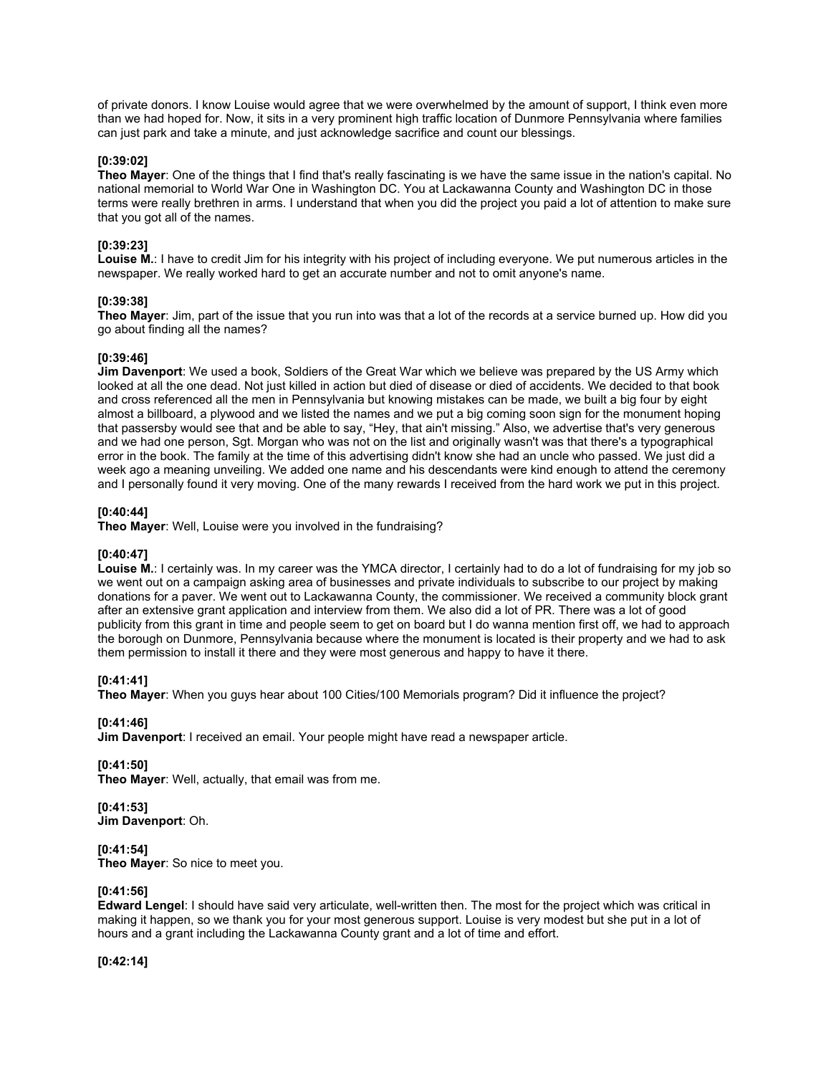of private donors. I know Louise would agree that we were overwhelmed by the amount of support, I think even more than we had hoped for. Now, it sits in a very prominent high traffic location of Dunmore Pennsylvania where families can just park and take a minute, and just acknowledge sacrifice and count our blessings.

### **[0:39:02]**

**Theo Mayer**: One of the things that I find that's really fascinating is we have the same issue in the nation's capital. No national memorial to World War One in Washington DC. You at Lackawanna County and Washington DC in those terms were really brethren in arms. I understand that when you did the project you paid a lot of attention to make sure that you got all of the names.

## **[0:39:23]**

**Louise M.**: I have to credit Jim for his integrity with his project of including everyone. We put numerous articles in the newspaper. We really worked hard to get an accurate number and not to omit anyone's name.

## **[0:39:38]**

**Theo Mayer**: Jim, part of the issue that you run into was that a lot of the records at a service burned up. How did you go about finding all the names?

### **[0:39:46]**

**Jim Davenport**: We used a book, Soldiers of the Great War which we believe was prepared by the US Army which looked at all the one dead. Not just killed in action but died of disease or died of accidents. We decided to that book and cross referenced all the men in Pennsylvania but knowing mistakes can be made, we built a big four by eight almost a billboard, a plywood and we listed the names and we put a big coming soon sign for the monument hoping that passersby would see that and be able to say, "Hey, that ain't missing." Also, we advertise that's very generous and we had one person, Sgt. Morgan who was not on the list and originally wasn't was that there's a typographical error in the book. The family at the time of this advertising didn't know she had an uncle who passed. We just did a week ago a meaning unveiling. We added one name and his descendants were kind enough to attend the ceremony and I personally found it very moving. One of the many rewards I received from the hard work we put in this project.

### **[0:40:44]**

**Theo Mayer**: Well, Louise were you involved in the fundraising?

### **[0:40:47]**

**Louise M.**: I certainly was. In my career was the YMCA director, I certainly had to do a lot of fundraising for my job so we went out on a campaign asking area of businesses and private individuals to subscribe to our project by making donations for a paver. We went out to Lackawanna County, the commissioner. We received a community block grant after an extensive grant application and interview from them. We also did a lot of PR. There was a lot of good publicity from this grant in time and people seem to get on board but I do wanna mention first off, we had to approach the borough on Dunmore, Pennsylvania because where the monument is located is their property and we had to ask them permission to install it there and they were most generous and happy to have it there.

# **[0:41:41]**

**Theo Mayer**: When you guys hear about 100 Cities/100 Memorials program? Did it influence the project?

# **[0:41:46]**

**Jim Davenport**: I received an email. Your people might have read a newspaper article.

# **[0:41:50]**

**Theo Mayer**: Well, actually, that email was from me.

### **[0:41:53]**

**Jim Davenport**: Oh.

# **[0:41:54]**

**Theo Mayer**: So nice to meet you.

# **[0:41:56]**

**Edward Lengel**: I should have said very articulate, well-written then. The most for the project which was critical in making it happen, so we thank you for your most generous support. Louise is very modest but she put in a lot of hours and a grant including the Lackawanna County grant and a lot of time and effort.

**[0:42:14]**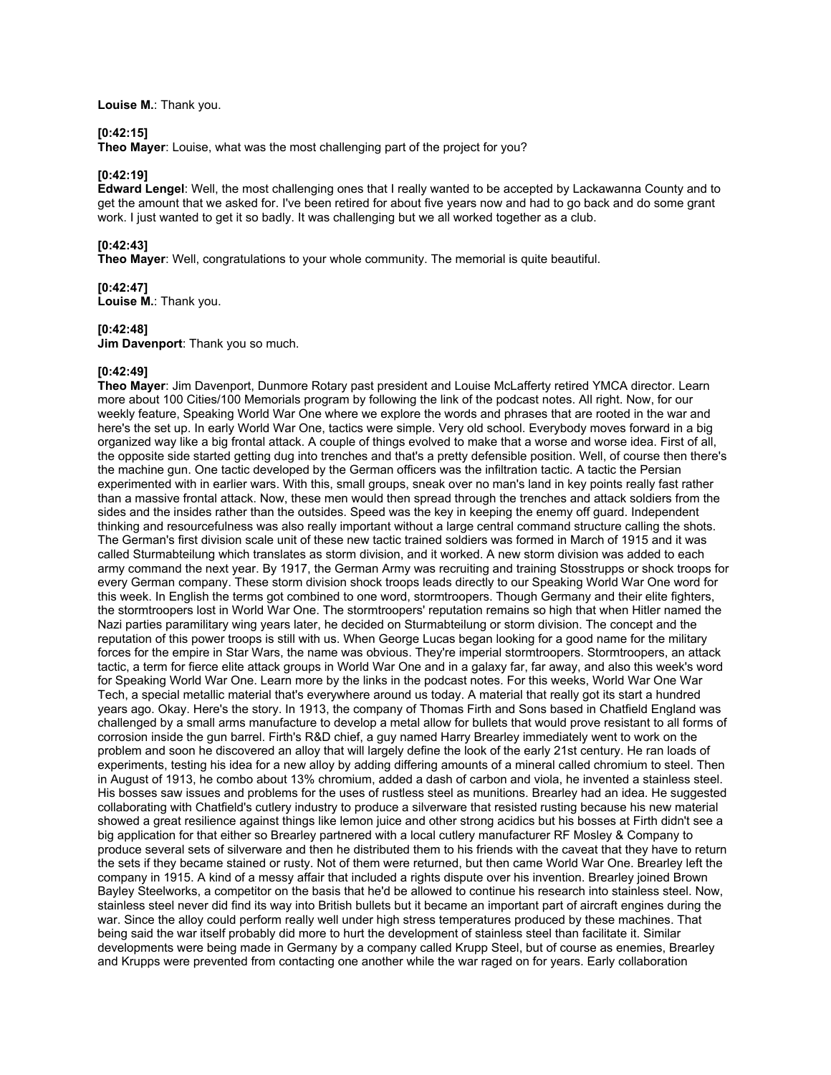**Louise M.**: Thank you.

## **[0:42:15]**

**Theo Mayer**: Louise, what was the most challenging part of the project for you?

### **[0:42:19]**

**Edward Lengel**: Well, the most challenging ones that I really wanted to be accepted by Lackawanna County and to get the amount that we asked for. I've been retired for about five years now and had to go back and do some grant work. I just wanted to get it so badly. It was challenging but we all worked together as a club.

# **[0:42:43]**

**Theo Mayer**: Well, congratulations to your whole community. The memorial is quite beautiful.

## **[0:42:47]**

**Louise M.**: Thank you.

### **[0:42:48]**

**Jim Davenport**: Thank you so much.

## **[0:42:49]**

**Theo Mayer**: Jim Davenport, Dunmore Rotary past president and Louise McLafferty retired YMCA director. Learn more about 100 Cities/100 Memorials program by following the link of the podcast notes. All right. Now, for our weekly feature, Speaking World War One where we explore the words and phrases that are rooted in the war and here's the set up. In early World War One, tactics were simple. Very old school. Everybody moves forward in a big organized way like a big frontal attack. A couple of things evolved to make that a worse and worse idea. First of all, the opposite side started getting dug into trenches and that's a pretty defensible position. Well, of course then there's the machine gun. One tactic developed by the German officers was the infiltration tactic. A tactic the Persian experimented with in earlier wars. With this, small groups, sneak over no man's land in key points really fast rather than a massive frontal attack. Now, these men would then spread through the trenches and attack soldiers from the sides and the insides rather than the outsides. Speed was the key in keeping the enemy off guard. Independent thinking and resourcefulness was also really important without a large central command structure calling the shots. The German's first division scale unit of these new tactic trained soldiers was formed in March of 1915 and it was called Sturmabteilung which translates as storm division, and it worked. A new storm division was added to each army command the next year. By 1917, the German Army was recruiting and training Stosstrupps or shock troops for every German company. These storm division shock troops leads directly to our Speaking World War One word for this week. In English the terms got combined to one word, stormtroopers. Though Germany and their elite fighters, the stormtroopers lost in World War One. The stormtroopers' reputation remains so high that when Hitler named the Nazi parties paramilitary wing years later, he decided on Sturmabteilung or storm division. The concept and the reputation of this power troops is still with us. When George Lucas began looking for a good name for the military forces for the empire in Star Wars, the name was obvious. They're imperial stormtroopers. Stormtroopers, an attack tactic, a term for fierce elite attack groups in World War One and in a galaxy far, far away, and also this week's word for Speaking World War One. Learn more by the links in the podcast notes. For this weeks, World War One War Tech, a special metallic material that's everywhere around us today. A material that really got its start a hundred years ago. Okay. Here's the story. In 1913, the company of Thomas Firth and Sons based in Chatfield England was challenged by a small arms manufacture to develop a metal allow for bullets that would prove resistant to all forms of corrosion inside the gun barrel. Firth's R&D chief, a guy named Harry Brearley immediately went to work on the problem and soon he discovered an alloy that will largely define the look of the early 21st century. He ran loads of experiments, testing his idea for a new alloy by adding differing amounts of a mineral called chromium to steel. Then in August of 1913, he combo about 13% chromium, added a dash of carbon and viola, he invented a stainless steel. His bosses saw issues and problems for the uses of rustless steel as munitions. Brearley had an idea. He suggested collaborating with Chatfield's cutlery industry to produce a silverware that resisted rusting because his new material showed a great resilience against things like lemon juice and other strong acidics but his bosses at Firth didn't see a big application for that either so Brearley partnered with a local cutlery manufacturer RF Mosley & Company to produce several sets of silverware and then he distributed them to his friends with the caveat that they have to return the sets if they became stained or rusty. Not of them were returned, but then came World War One. Brearley left the company in 1915. A kind of a messy affair that included a rights dispute over his invention. Brearley joined Brown Bayley Steelworks, a competitor on the basis that he'd be allowed to continue his research into stainless steel. Now, stainless steel never did find its way into British bullets but it became an important part of aircraft engines during the war. Since the alloy could perform really well under high stress temperatures produced by these machines. That being said the war itself probably did more to hurt the development of stainless steel than facilitate it. Similar developments were being made in Germany by a company called Krupp Steel, but of course as enemies, Brearley and Krupps were prevented from contacting one another while the war raged on for years. Early collaboration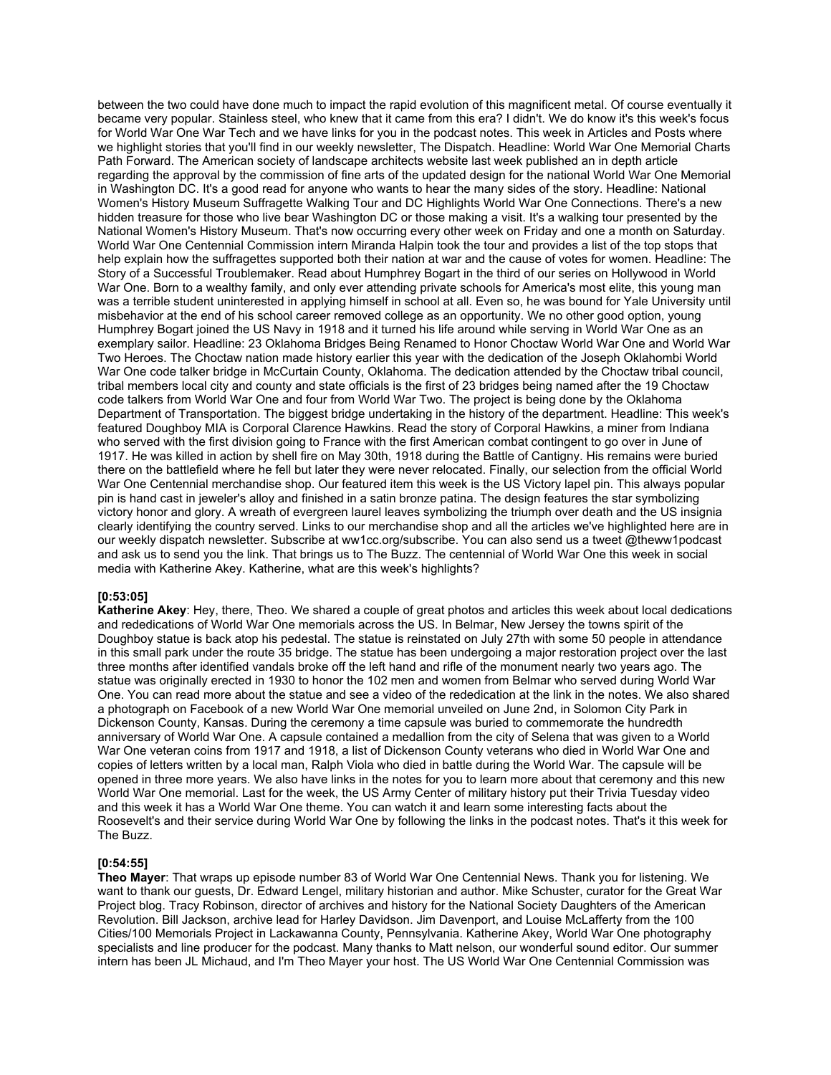between the two could have done much to impact the rapid evolution of this magnificent metal. Of course eventually it became very popular. Stainless steel, who knew that it came from this era? I didn't. We do know it's this week's focus for World War One War Tech and we have links for you in the podcast notes. This week in Articles and Posts where we highlight stories that you'll find in our weekly newsletter, The Dispatch. Headline: World War One Memorial Charts Path Forward. The American society of landscape architects website last week published an in depth article regarding the approval by the commission of fine arts of the updated design for the national World War One Memorial in Washington DC. It's a good read for anyone who wants to hear the many sides of the story. Headline: National Women's History Museum Suffragette Walking Tour and DC Highlights World War One Connections. There's a new hidden treasure for those who live bear Washington DC or those making a visit. It's a walking tour presented by the National Women's History Museum. That's now occurring every other week on Friday and one a month on Saturday. World War One Centennial Commission intern Miranda Halpin took the tour and provides a list of the top stops that help explain how the suffragettes supported both their nation at war and the cause of votes for women. Headline: The Story of a Successful Troublemaker. Read about Humphrey Bogart in the third of our series on Hollywood in World War One. Born to a wealthy family, and only ever attending private schools for America's most elite, this young man was a terrible student uninterested in applying himself in school at all. Even so, he was bound for Yale University until misbehavior at the end of his school career removed college as an opportunity. We no other good option, young Humphrey Bogart joined the US Navy in 1918 and it turned his life around while serving in World War One as an exemplary sailor. Headline: 23 Oklahoma Bridges Being Renamed to Honor Choctaw World War One and World War Two Heroes. The Choctaw nation made history earlier this year with the dedication of the Joseph Oklahombi World War One code talker bridge in McCurtain County, Oklahoma. The dedication attended by the Choctaw tribal council, tribal members local city and county and state officials is the first of 23 bridges being named after the 19 Choctaw code talkers from World War One and four from World War Two. The project is being done by the Oklahoma Department of Transportation. The biggest bridge undertaking in the history of the department. Headline: This week's featured Doughboy MIA is Corporal Clarence Hawkins. Read the story of Corporal Hawkins, a miner from Indiana who served with the first division going to France with the first American combat contingent to go over in June of 1917. He was killed in action by shell fire on May 30th, 1918 during the Battle of Cantigny. His remains were buried there on the battlefield where he fell but later they were never relocated. Finally, our selection from the official World War One Centennial merchandise shop. Our featured item this week is the US Victory lapel pin. This always popular pin is hand cast in jeweler's alloy and finished in a satin bronze patina. The design features the star symbolizing victory honor and glory. A wreath of evergreen laurel leaves symbolizing the triumph over death and the US insignia clearly identifying the country served. Links to our merchandise shop and all the articles we've highlighted here are in our weekly dispatch newsletter. Subscribe at ww1cc.org/subscribe. You can also send us a tweet @theww1podcast and ask us to send you the link. That brings us to The Buzz. The centennial of World War One this week in social media with Katherine Akey. Katherine, what are this week's highlights?

#### **[0:53:05]**

**Katherine Akey**: Hey, there, Theo. We shared a couple of great photos and articles this week about local dedications and rededications of World War One memorials across the US. In Belmar, New Jersey the towns spirit of the Doughboy statue is back atop his pedestal. The statue is reinstated on July 27th with some 50 people in attendance in this small park under the route 35 bridge. The statue has been undergoing a major restoration project over the last three months after identified vandals broke off the left hand and rifle of the monument nearly two years ago. The statue was originally erected in 1930 to honor the 102 men and women from Belmar who served during World War One. You can read more about the statue and see a video of the rededication at the link in the notes. We also shared a photograph on Facebook of a new World War One memorial unveiled on June 2nd, in Solomon City Park in Dickenson County, Kansas. During the ceremony a time capsule was buried to commemorate the hundredth anniversary of World War One. A capsule contained a medallion from the city of Selena that was given to a World War One veteran coins from 1917 and 1918, a list of Dickenson County veterans who died in World War One and copies of letters written by a local man, Ralph Viola who died in battle during the World War. The capsule will be opened in three more years. We also have links in the notes for you to learn more about that ceremony and this new World War One memorial. Last for the week, the US Army Center of military history put their Trivia Tuesday video and this week it has a World War One theme. You can watch it and learn some interesting facts about the Roosevelt's and their service during World War One by following the links in the podcast notes. That's it this week for The Buzz.

### **[0:54:55]**

**Theo Mayer**: That wraps up episode number 83 of World War One Centennial News. Thank you for listening. We want to thank our guests, Dr. Edward Lengel, military historian and author. Mike Schuster, curator for the Great War Project blog. Tracy Robinson, director of archives and history for the National Society Daughters of the American Revolution. Bill Jackson, archive lead for Harley Davidson. Jim Davenport, and Louise McLafferty from the 100 Cities/100 Memorials Project in Lackawanna County, Pennsylvania. Katherine Akey, World War One photography specialists and line producer for the podcast. Many thanks to Matt nelson, our wonderful sound editor. Our summer intern has been JL Michaud, and I'm Theo Mayer your host. The US World War One Centennial Commission was